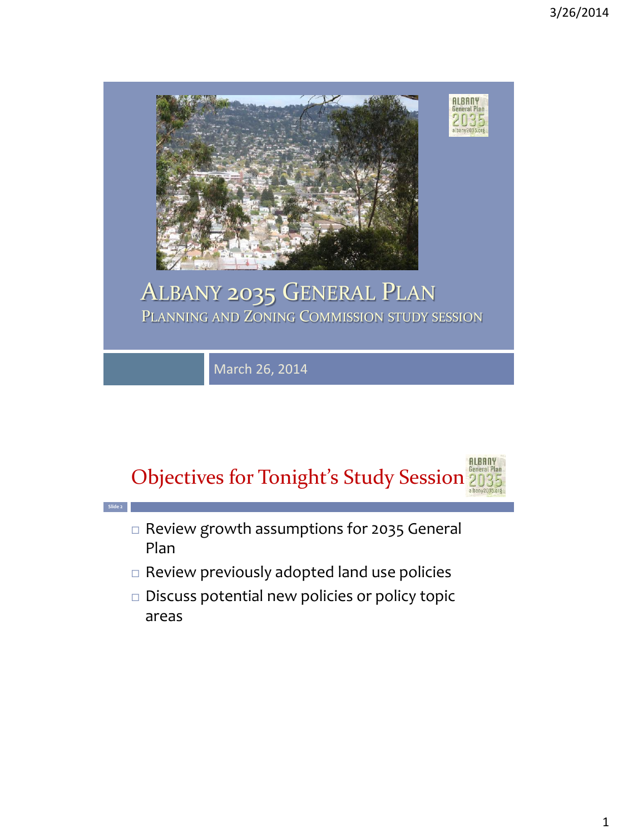

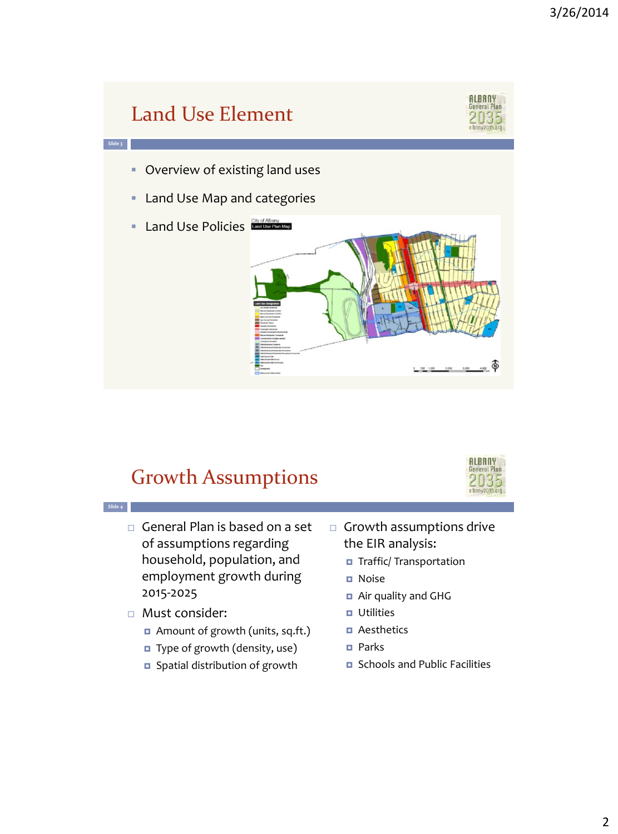

## Growth Assumptions



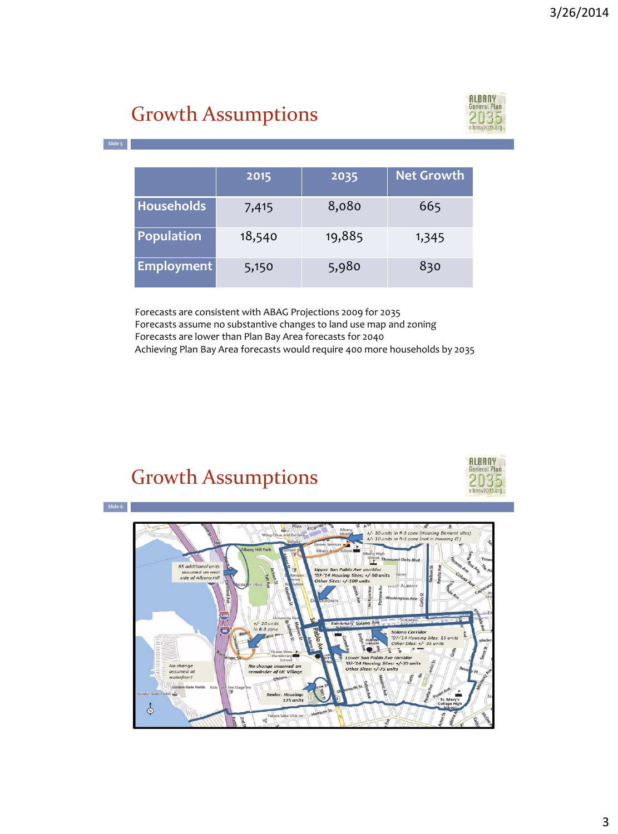# Growth Assumptions



**Slide 5**

|                   | 2015   | 2035   | <b>Net Growth</b> |
|-------------------|--------|--------|-------------------|
| <b>Households</b> | 7,415  | 8,080  | 665               |
| Population        | 18,540 | 19,885 | 1,345             |
| <b>Employment</b> | 5,150  | 5,980  | 830               |

Forecasts are consistent with ABAG Projections 2009 for 2035 Forecasts assume no substantive changes to land use map and zoning Forecasts are lower than Plan Bay Area forecasts for 2040 Achieving Plan Bay Area forecasts would require 400 more households by 2035

#### Growth Assumptions



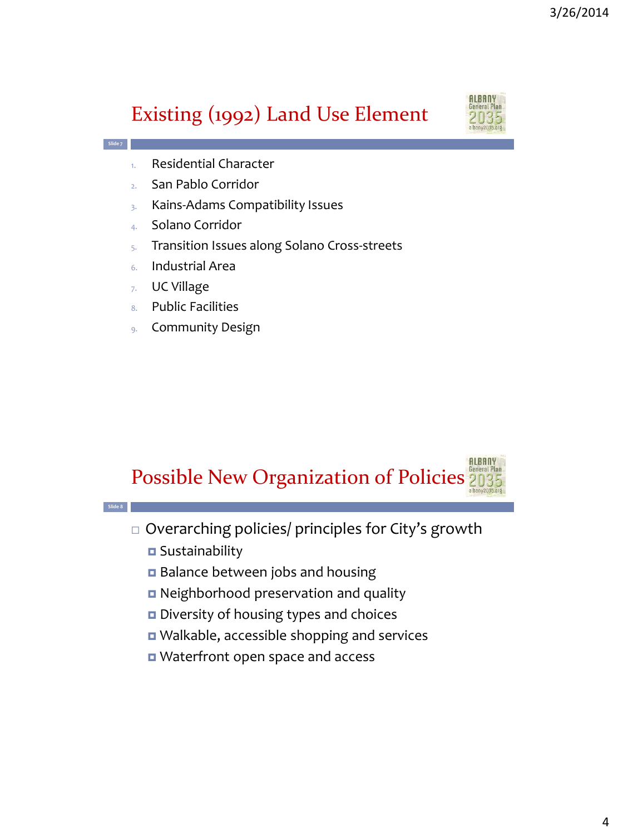## Existing (1992) Land Use Element



- 1. Residential Character
- 2. San Pablo Corridor
- 3. Kains-Adams Compatibility Issues
- 4. Solano Corridor
- 5. Transition Issues along Solano Cross-streets
- 6. Industrial Area
- 7. UC Village

**Slide 7**

- 8. Public Facilities
- 9. Community Design

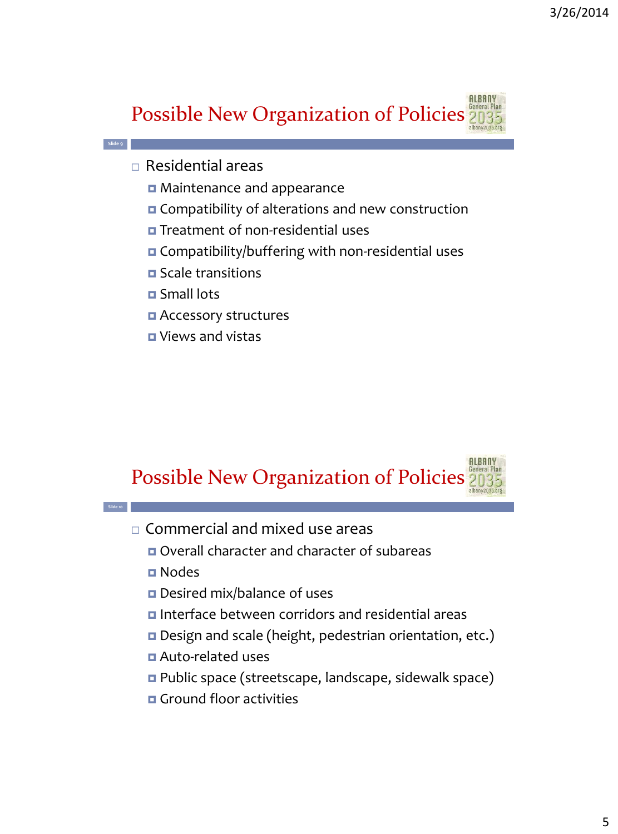

 $\Box$  Residential areas

**Slide 9**

- Maintenance and appearance
- **O** Compatibility of alterations and new construction
- Treatment of non-residential uses
- Compatibility/buffering with non-residential uses
- Scale transitions
- Small lots
- **Q** Accessory structures
- Views and vistas



- Commercial and mixed use areas
	- Overall character and character of subareas
	- Nodes

**Slide 10**

- Desired mix/balance of uses
- **D** Interface between corridors and residential areas
- Design and scale (height, pedestrian orientation, etc.)
- Auto-related uses
- Public space (streetscape, landscape, sidewalk space)
- **D** Ground floor activities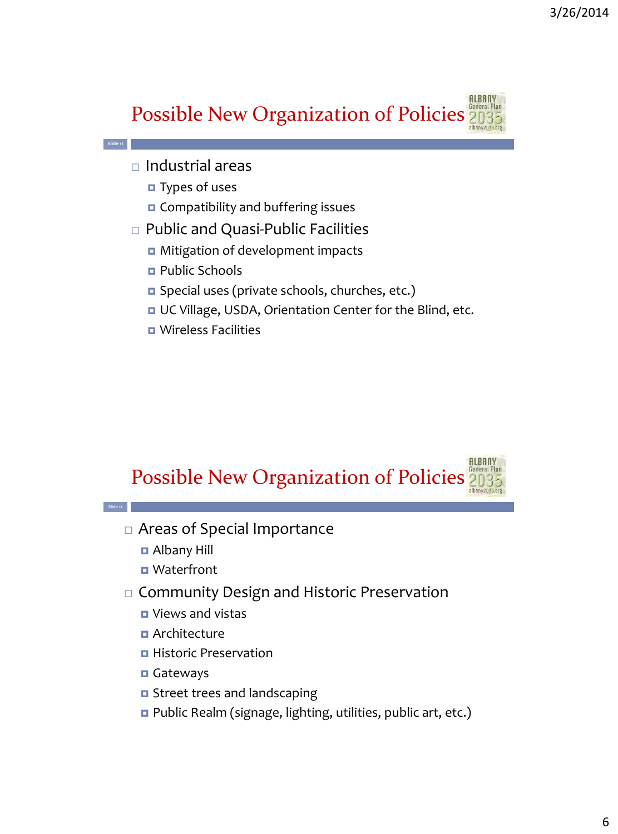

 $\Box$  Industrial areas

**Slide 11**

- $\blacksquare$  Types of uses
- **O** Compatibility and buffering issues
- □ Public and Quasi-Public Facilities
	- **D** Mitigation of development impacts
	- Public Schools
	- Special uses (private schools, churches, etc.)
	- UC Village, USDA, Orientation Center for the Blind, etc.
	- Wireless Facilities



- Areas of Special Importance
	- Albany Hill

**Slide 12**

- **D** Waterfront
- □ Community Design and Historic Preservation
	- **D** Views and vistas
	- **D** Architecture
	- **Historic Preservation**
	- **Gateways**
	- **O** Street trees and landscaping
	- Public Realm (signage, lighting, utilities, public art, etc.)